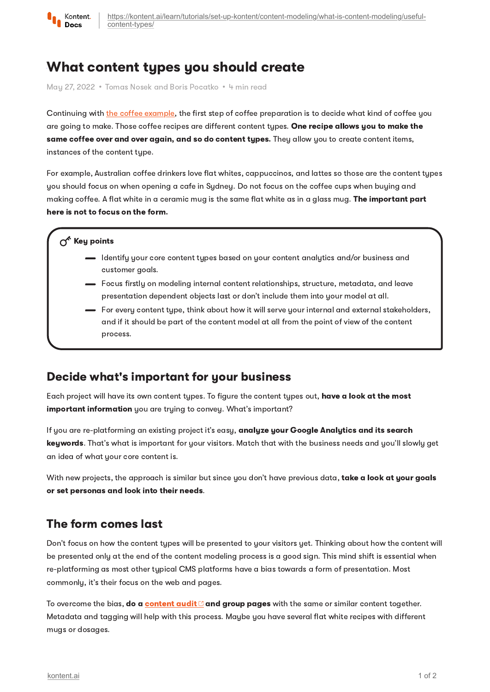

# What content types you should create

May 27, 2022 • Tomas Nosek and Boris Pocatko • 4 min read

Continuing with the coffee [example](https://kontent.ai/learn/tutorials/set-up-kontent/content-modeling/what-is-content-modeling/introduction-to-content-modeling/), the first step of coffee preparation is to decide what kind of coffee you are going to make. Those coffee recipes are different content types. One recipe allows you to make the same coffee over and over again, and so do content types. They allow you to create content items, instances of the content type.

For example, Australian coffee drinkers love flat whites, cappuccinos, and lattes so those are the content types you should focus on when opening a cafe in Sydney. Do not focus on the coffee cups when buying and making coffee. A flat white in a ceramic mug is the same flat white as in a glass mug. The important part here is not to focus on the form.

#### $\sigma^{\prime}$  Key points

- I dentify your core content types based on your content analytics and/or business and customer goals.
- Focus firstly on modeling internal content relationships, structure, metadata, and leave presentation dependent objects last or don't include them into your model at all.
- For every content type, think about how it will serve your internal and external stakeholders, and if it should be part of the content model at all from the point of view of the content process.

### Decide what's important for your business

Each project will have its own content types. To figure the content types out, have a look at the most important information you are trying to convey. What's important?

If you are re-platforming an existing project it's easy, analyze your Google Analytics and its search keywords. That's what is important for your visitors. Match that with the business needs and you'll slowly get an idea of what your core content is.

With new projects, the approach is similar but since you don't have previous data, take a look at your goals or set personas and look into their needs.

### The form comes last

Don't focus on how the content types will be presented to your visitors yet. Thinking about how the content will be presented only at the end of the content modeling process is a good sign. This mind shift is essential when re-platforming as most other typical CMS platforms have a bias towards a form of presentation. Most commonly, it's their focus on the web and pages.

To overcome the bias, do a **[content](https://kontent.ai/glossary/content-audit) audit**  $\mathbb{Z}$  **and group pages** with the same or similar content together. Metadata and tagging will help with this process. Maybe you have several flat white recipes with different mugs or dosages.